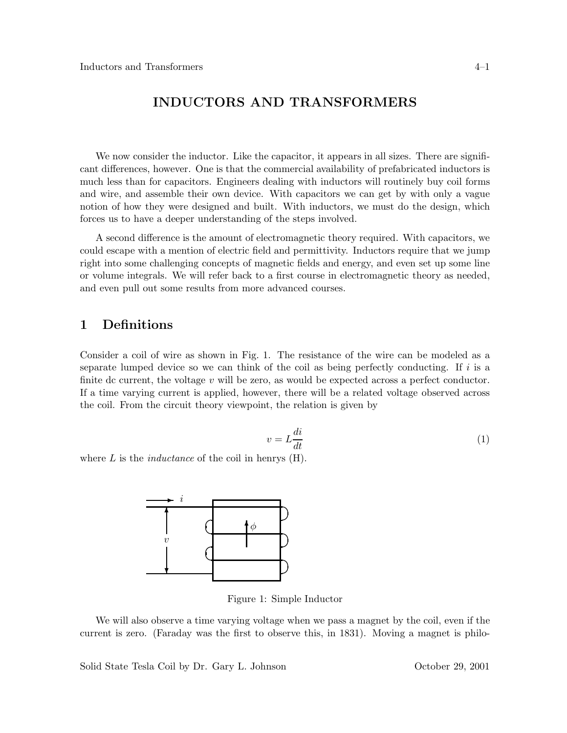# **INDUCTORS AND TRANSFORMERS**

We now consider the inductor. Like the capacitor, it appears in all sizes. There are significant differences, however. One is that the commercial availability of prefabricated inductors is much less than for capacitors. Engineers dealing with inductors will routinely buy coil forms and wire, and assemble their own device. With capacitors we can get by with only a vague notion of how they were designed and built. With inductors, we must do the design, which forces us to have a deeper understanding of the steps involved.

A second difference is the amount of electromagnetic theory required. With capacitors, we could escape with a mention of electric field and permittivity. Inductors require that we jump right into some challenging concepts of magnetic fields and energy, and even set up some line or volume integrals. We will refer back to a first course in electromagnetic theory as needed, and even pull out some results from more advanced courses.

## **1 Definitions**

Consider a coil of wire as shown in Fig. 1. The resistance of the wire can be modeled as a separate lumped device so we can think of the coil as being perfectly conducting. If  $i$  is a finite dc current, the voltage v will be zero, as would be expected across a perfect conductor. If a time varying current is applied, however, there will be a related voltage observed across the coil. From the circuit theory viewpoint, the relation is given by

$$
v = L\frac{di}{dt} \tag{1}
$$

where L is the *inductance* of the coil in henrys (H).



Figure 1: Simple Inductor

We will also observe a time varying voltage when we pass a magnet by the coil, even if the current is zero. (Faraday was the first to observe this, in 1831). Moving a magnet is philo-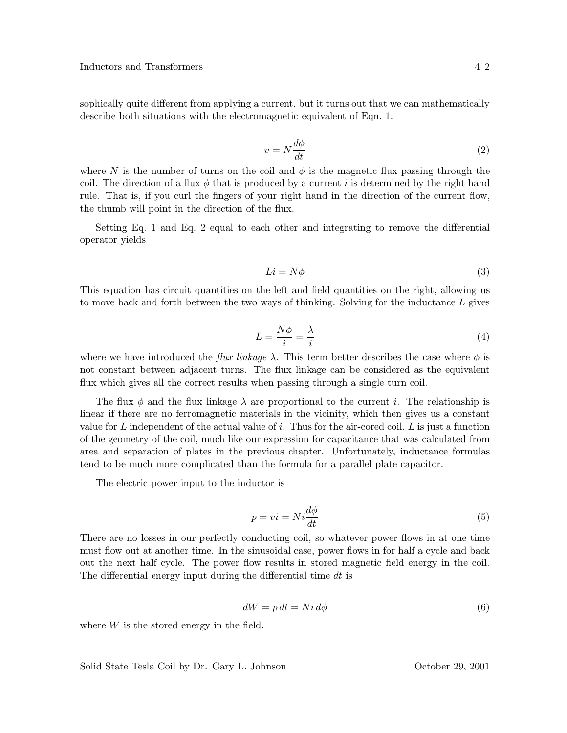sophically quite different from applying a current, but it turns out that we can mathematically describe both situations with the electromagnetic equivalent of Eqn. 1.

$$
v = N \frac{d\phi}{dt} \tag{2}
$$

where N is the number of turns on the coil and  $\phi$  is the magnetic flux passing through the coil. The direction of a flux  $\phi$  that is produced by a current i is determined by the right hand rule. That is, if you curl the fingers of your right hand in the direction of the current flow, the thumb will point in the direction of the flux.

Setting Eq. 1 and Eq. 2 equal to each other and integrating to remove the differential operator yields

$$
Li = N\phi \tag{3}
$$

This equation has circuit quantities on the left and field quantities on the right, allowing us to move back and forth between the two ways of thinking. Solving for the inductance L gives

$$
L = \frac{N\phi}{i} = \frac{\lambda}{i} \tag{4}
$$

where we have introduced the *flux linkage*  $\lambda$ . This term better describes the case where  $\phi$  is not constant between adjacent turns. The flux linkage can be considered as the equivalent flux which gives all the correct results when passing through a single turn coil.

The flux  $\phi$  and the flux linkage  $\lambda$  are proportional to the current i. The relationship is linear if there are no ferromagnetic materials in the vicinity, which then gives us a constant value for L independent of the actual value of i. Thus for the air-cored coil,  $L$  is just a function of the geometry of the coil, much like our expression for capacitance that was calculated from area and separation of plates in the previous chapter. Unfortunately, inductance formulas tend to be much more complicated than the formula for a parallel plate capacitor.

The electric power input to the inductor is

$$
p = vi = Ni \frac{d\phi}{dt}
$$
\n<sup>(5)</sup>

There are no losses in our perfectly conducting coil, so whatever power flows in at one time must flow out at another time. In the sinusoidal case, power flows in for half a cycle and back out the next half cycle. The power flow results in stored magnetic field energy in the coil. The differential energy input during the differential time dt is

$$
dW = p \, dt = N i \, d\phi \tag{6}
$$

where  $W$  is the stored energy in the field.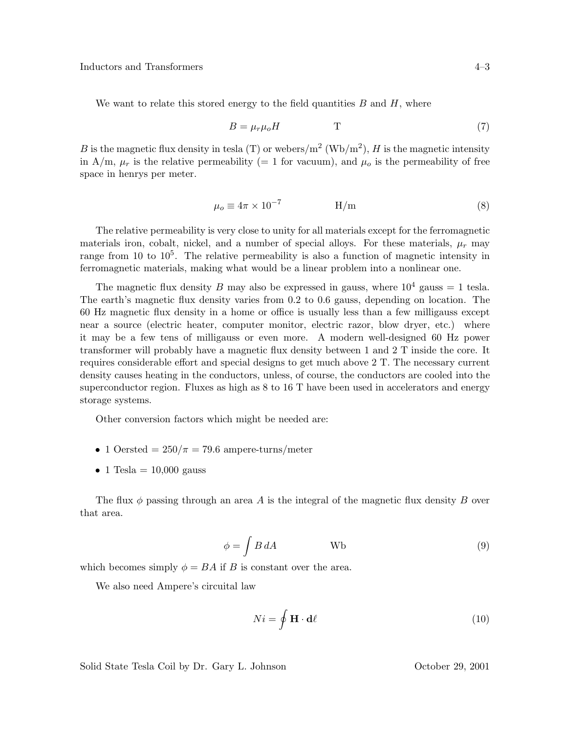We want to relate this stored energy to the field quantities  $B$  and  $H$ , where

$$
B = \mu_r \mu_o H \qquad \qquad T \tag{7}
$$

B is the magnetic flux density in tesla (T) or webers/ $m^2 (Wb/m^2)$ , H is the magnetic intensity in A/m,  $\mu_r$  is the relative permeability (= 1 for vacuum), and  $\mu_o$  is the permeability of free space in henrys per meter.

$$
\mu_o \equiv 4\pi \times 10^{-7} \qquad \qquad H/m \tag{8}
$$

The relative permeability is very close to unity for all materials except for the ferromagnetic materials iron, cobalt, nickel, and a number of special alloys. For these materials,  $\mu_r$  may range from 10 to  $10^5$ . The relative permeability is also a function of magnetic intensity in ferromagnetic materials, making what would be a linear problem into a nonlinear one.

The magnetic flux density B may also be expressed in gauss, where  $10^4$  gauss = 1 tesla. The earth's magnetic flux density varies from 0.2 to 0.6 gauss, depending on location. The 60 Hz magnetic flux density in a home or office is usually less than a few milligauss except near a source (electric heater, computer monitor, electric razor, blow dryer, etc.) where it may be a few tens of milligauss or even more. A modern well-designed 60 Hz power transformer will probably have a magnetic flux density between 1 and 2 T inside the core. It requires considerable effort and special designs to get much above 2 T. The necessary current density causes heating in the conductors, unless, of course, the conductors are cooled into the superconductor region. Fluxes as high as 8 to 16 T have been used in accelerators and energy storage systems.

Other conversion factors which might be needed are:

- 1 Oersted =  $250/\pi = 79.6$  ampere-turns/meter
- 1 Tesla =  $10,000$  gauss

The flux  $\phi$  passing through an area A is the integral of the magnetic flux density B over that area.

$$
\phi = \int B \, dA \tag{9}
$$

which becomes simply  $\phi = BA$  if B is constant over the area.

We also need Ampere's circuital law

$$
Ni = \oint \mathbf{H} \cdot \mathbf{d}\ell
$$
 (10)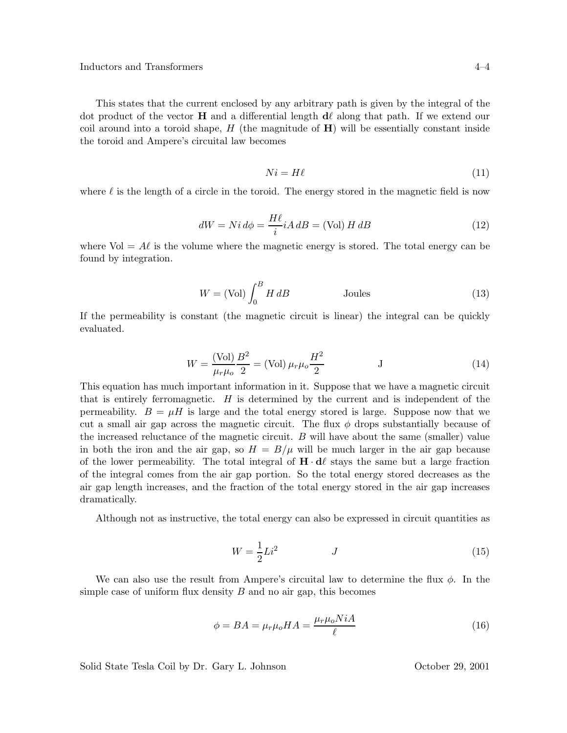This states that the current enclosed by any arbitrary path is given by the integral of the dot product of the vector **H** and a differential length  $d\ell$  along that path. If we extend our coil around into a toroid shape,  $H$  (the magnitude of  $\mathbf{H}$ ) will be essentially constant inside the toroid and Ampere's circuital law becomes

$$
Ni = H\ell \tag{11}
$$

where  $\ell$  is the length of a circle in the toroid. The energy stored in the magnetic field is now

$$
dW = Ni d\phi = \frac{H\ell}{i} iA dB = \text{(Vol)} H dB \tag{12}
$$

where Vol =  $A\ell$  is the volume where the magnetic energy is stored. The total energy can be found by integration.

$$
W = (Vol) \int_0^B H \, dB
$$
 Joules (13)

If the permeability is constant (the magnetic circuit is linear) the integral can be quickly evaluated.

$$
W = \frac{(\text{Vol})}{\mu_r \mu_o} \frac{B^2}{2} = (\text{Vol}) \mu_r \mu_o \frac{H^2}{2} \qquad J \tag{14}
$$

This equation has much important information in it. Suppose that we have a magnetic circuit that is entirely ferromagnetic.  $H$  is determined by the current and is independent of the permeability.  $B = \mu H$  is large and the total energy stored is large. Suppose now that we cut a small air gap across the magnetic circuit. The flux  $\phi$  drops substantially because of the increased reluctance of the magnetic circuit. B will have about the same (smaller) value in both the iron and the air gap, so  $H = B/\mu$  will be much larger in the air gap because of the lower permeability. The total integral of  $\mathbf{H} \cdot \mathbf{d}\ell$  stays the same but a large fraction of the integral comes from the air gap portion. So the total energy stored decreases as the air gap length increases, and the fraction of the total energy stored in the air gap increases dramatically.

Although not as instructive, the total energy can also be expressed in circuit quantities as

$$
W = \frac{1}{2}Li^2 \qquad J \tag{15}
$$

We can also use the result from Ampere's circuital law to determine the flux  $\phi$ . In the simple case of uniform flux density  $B$  and no air gap, this becomes

$$
\phi = BA = \mu_r \mu_o H A = \frac{\mu_r \mu_o N iA}{\ell} \tag{16}
$$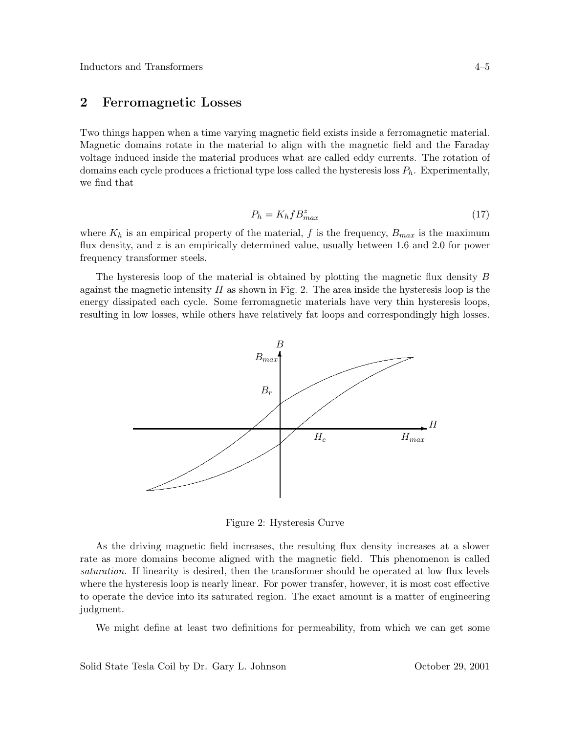## **2 Ferromagnetic Losses**

Two things happen when a time varying magnetic field exists inside a ferromagnetic material. Magnetic domains rotate in the material to align with the magnetic field and the Faraday voltage induced inside the material produces what are called eddy currents. The rotation of domains each cycle produces a frictional type loss called the hysteresis loss  $P_h$ . Experimentally, we find that

$$
P_h = K_h f B_{max}^z \tag{17}
$$

where  $K_h$  is an empirical property of the material, f is the frequency,  $B_{max}$  is the maximum flux density, and  $z$  is an empirically determined value, usually between 1.6 and 2.0 for power frequency transformer steels.

The hysteresis loop of the material is obtained by plotting the magnetic flux density B against the magnetic intensity  $H$  as shown in Fig. 2. The area inside the hysteresis loop is the energy dissipated each cycle. Some ferromagnetic materials have very thin hysteresis loops, resulting in low losses, while others have relatively fat loops and correspondingly high losses.



Figure 2: Hysteresis Curve

As the driving magnetic field increases, the resulting flux density increases at a slower rate as more domains become aligned with the magnetic field. This phenomenon is called *saturation*. If linearity is desired, then the transformer should be operated at low flux levels where the hysteresis loop is nearly linear. For power transfer, however, it is most cost effective to operate the device into its saturated region. The exact amount is a matter of engineering judgment.

We might define at least two definitions for permeability, from which we can get some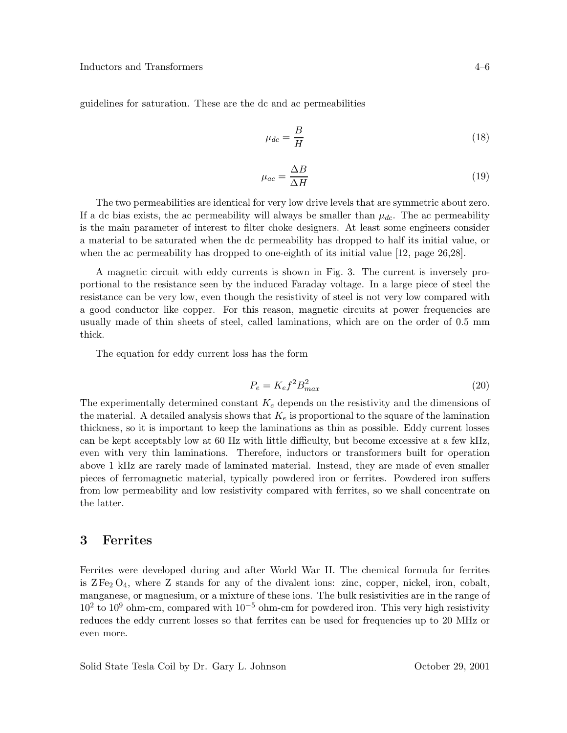guidelines for saturation. These are the dc and ac permeabilities

$$
\mu_{dc} = \frac{B}{H} \tag{18}
$$

$$
\mu_{ac} = \frac{\Delta B}{\Delta H} \tag{19}
$$

The two permeabilities are identical for very low drive levels that are symmetric about zero. If a dc bias exists, the ac permeability will always be smaller than  $\mu_{dc}$ . The ac permeability is the main parameter of interest to filter choke designers. At least some engineers consider a material to be saturated when the dc permeability has dropped to half its initial value, or when the ac permeability has dropped to one-eighth of its initial value [12, page 26,28].

A magnetic circuit with eddy currents is shown in Fig. 3. The current is inversely proportional to the resistance seen by the induced Faraday voltage. In a large piece of steel the resistance can be very low, even though the resistivity of steel is not very low compared with a good conductor like copper. For this reason, magnetic circuits at power frequencies are usually made of thin sheets of steel, called laminations, which are on the order of 0.5 mm thick.

The equation for eddy current loss has the form

$$
P_e = K_e f^2 B_{max}^2 \tag{20}
$$

The experimentally determined constant  $K_e$  depends on the resistivity and the dimensions of the material. A detailed analysis shows that  $K_e$  is proportional to the square of the lamination thickness, so it is important to keep the laminations as thin as possible. Eddy current losses can be kept acceptably low at 60 Hz with little difficulty, but become excessive at a few kHz, even with very thin laminations. Therefore, inductors or transformers built for operation above 1 kHz are rarely made of laminated material. Instead, they are made of even smaller pieces of ferromagnetic material, typically powdered iron or ferrites. Powdered iron suffers from low permeability and low resistivity compared with ferrites, so we shall concentrate on the latter.

### **3 Ferrites**

Ferrites were developed during and after World War II. The chemical formula for ferrites is  $Z \, \mathrm{Fe}_2 \, \mathrm{O}_4$ , where Z stands for any of the divalent ions: zinc, copper, nickel, iron, cobalt, manganese, or magnesium, or a mixture of these ions. The bulk resistivities are in the range of 10<sup>2</sup> to 10<sup>9</sup> ohm-cm, compared with 10*−*<sup>5</sup> ohm-cm for powdered iron. This very high resistivity reduces the eddy current losses so that ferrites can be used for frequencies up to 20 MHz or even more.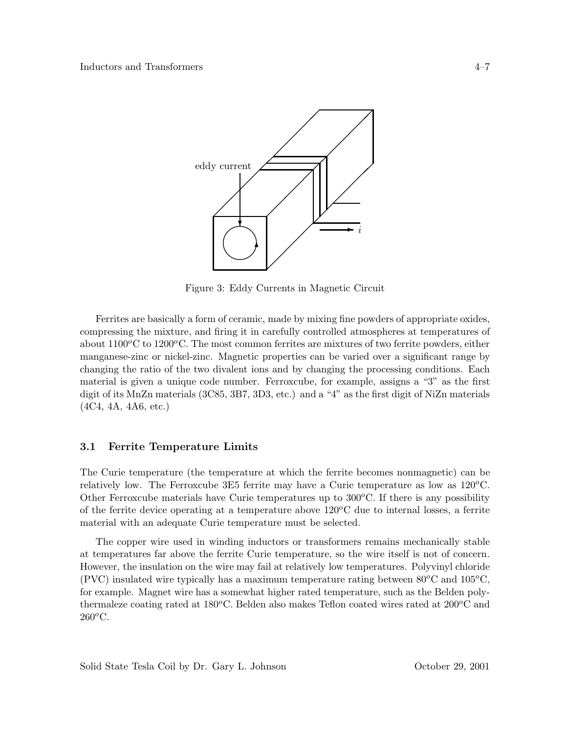

Figure 3: Eddy Currents in Magnetic Circuit

Ferrites are basically a form of ceramic, made by mixing fine powders of appropriate oxides, compressing the mixture, and firing it in carefully controlled atmospheres at temperatures of about  $1100^{\circ}$ C to  $1200^{\circ}$ C. The most common ferrites are mixtures of two ferrite powders, either manganese-zinc or nickel-zinc. Magnetic properties can be varied over a significant range by changing the ratio of the two divalent ions and by changing the processing conditions. Each material is given a unique code number. Ferroxcube, for example, assigns a "3" as the first digit of its MnZn materials (3C85, 3B7, 3D3, etc.) and a "4" as the first digit of NiZn materials (4C4, 4A, 4A6, etc.)

### **3.1 Ferrite Temperature Limits**

The Curie temperature (the temperature at which the ferrite becomes nonmagnetic) can be relatively low. The Ferroxcube 3E5 ferrite may have a Curie temperature as low as  $120^{\circ}$ C. Other Ferroxcube materials have Curie temperatures up to  $300^{\circ}$ C. If there is any possibility of the ferrite device operating at a temperature above  $120^{\circ}$ C due to internal losses, a ferrite material with an adequate Curie temperature must be selected.

The copper wire used in winding inductors or transformers remains mechanically stable at temperatures far above the ferrite Curie temperature, so the wire itself is not of concern. However, the insulation on the wire may fail at relatively low temperatures. Polyvinyl chloride (PVC) insulated wire typically has a maximum temperature rating between  $80^{\circ}$ C and  $105^{\circ}$ C, for example. Magnet wire has a somewhat higher rated temperature, such as the Belden polythermaleze coating rated at  $180^{\circ}$ C. Belden also makes Teflon coated wires rated at  $200^{\circ}$ C and  $260^o$ C.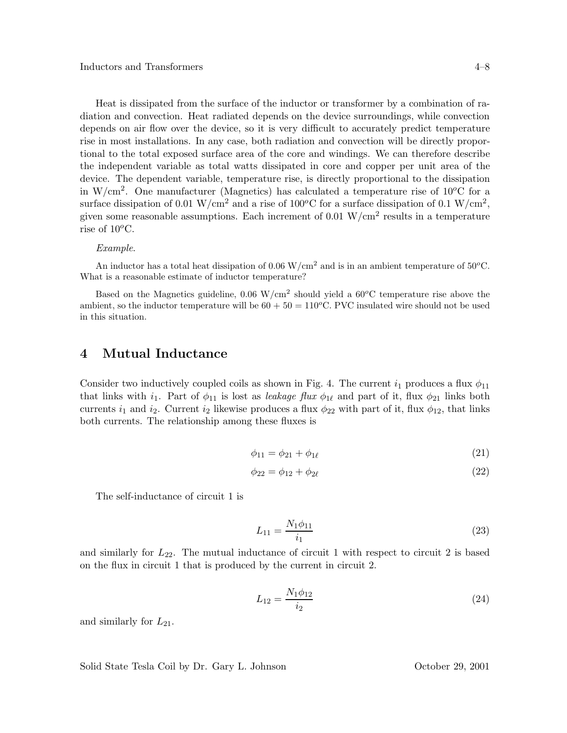Heat is dissipated from the surface of the inductor or transformer by a combination of radiation and convection. Heat radiated depends on the device surroundings, while convection depends on air flow over the device, so it is very difficult to accurately predict temperature rise in most installations. In any case, both radiation and convection will be directly proportional to the total exposed surface area of the core and windings. We can therefore describe the independent variable as total watts dissipated in core and copper per unit area of the device. The dependent variable, temperature rise, is directly proportional to the dissipation in W/cm<sup>2</sup>. One manufacturer (Magnetics) has calculated a temperature rise of  $10^{\circ}$ C for a surface dissipation of 0.01 W/cm<sup>2</sup> and a rise of 100<sup>o</sup>C for a surface dissipation of 0.1 W/cm<sup>2</sup>, given some reasonable assumptions. Each increment of  $0.01 \text{ W/cm}^2$  results in a temperature rise of  $10^{\circ}$ C.

#### *Example*.

An inductor has a total heat dissipation of 0.06 W/cm<sup>2</sup> and is in an ambient temperature of 50*<sup>o</sup>*C. What is a reasonable estimate of inductor temperature?

Based on the Magnetics guideline, 0.06 W/cm<sup>2</sup> should yield a 60*<sup>o</sup>*C temperature rise above the ambient, so the inductor temperature will be  $60 + 50 = 110^{\circ}$ C. PVC insulated wire should not be used in this situation.

### **4 Mutual Inductance**

Consider two inductively coupled coils as shown in Fig. 4. The current  $i_1$  produces a flux  $\phi_{11}$ that links with i<sub>1</sub>. Part of  $\phi_{11}$  is lost as *leakage flux*  $\phi_{1\ell}$  and part of it, flux  $\phi_{21}$  links both currents  $i_1$  and  $i_2$ . Current  $i_2$  likewise produces a flux  $\phi_{22}$  with part of it, flux  $\phi_{12}$ , that links both currents. The relationship among these fluxes is

$$
\phi_{11} = \phi_{21} + \phi_{1\ell} \tag{21}
$$

$$
\phi_{22} = \phi_{12} + \phi_{2\ell} \tag{22}
$$

The self-inductance of circuit 1 is

$$
L_{11} = \frac{N_1 \phi_{11}}{i_1} \tag{23}
$$

and similarly for  $L_{22}$ . The mutual inductance of circuit 1 with respect to circuit 2 is based on the flux in circuit 1 that is produced by the current in circuit 2.

$$
L_{12} = \frac{N_1 \phi_{12}}{i_2} \tag{24}
$$

and similarly for  $L_{21}$ .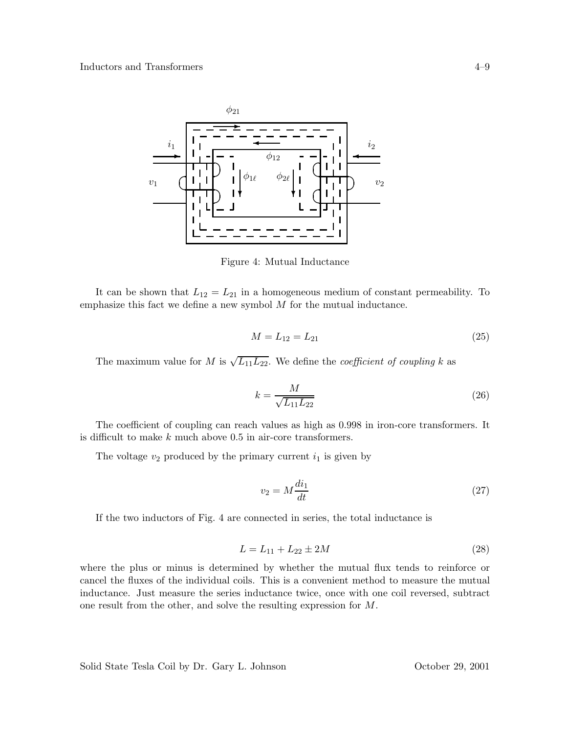

Figure 4: Mutual Inductance

It can be shown that  $L_{12} = L_{21}$  in a homogeneous medium of constant permeability. To emphasize this fact we define a new symbol  $M$  for the mutual inductance.

$$
M = L_{12} = L_{21} \tag{25}
$$

The maximum value for M is  $\sqrt{L_{11}L_{22}}$ . We define the *coefficient of coupling* k as

$$
k = \frac{M}{\sqrt{L_{11}L_{22}}} \tag{26}
$$

The coefficient of coupling can reach values as high as 0.998 in iron-core transformers. It is difficult to make  $k$  much above  $0.5$  in air-core transformers.

The voltage  $v_2$  produced by the primary current  $i_1$  is given by

$$
v_2 = M \frac{di_1}{dt} \tag{27}
$$

If the two inductors of Fig. 4 are connected in series, the total inductance is

$$
L = L_{11} + L_{22} \pm 2M \tag{28}
$$

where the plus or minus is determined by whether the mutual flux tends to reinforce or cancel the fluxes of the individual coils. This is a convenient method to measure the mutual inductance. Just measure the series inductance twice, once with one coil reversed, subtract one result from the other, and solve the resulting expression for M.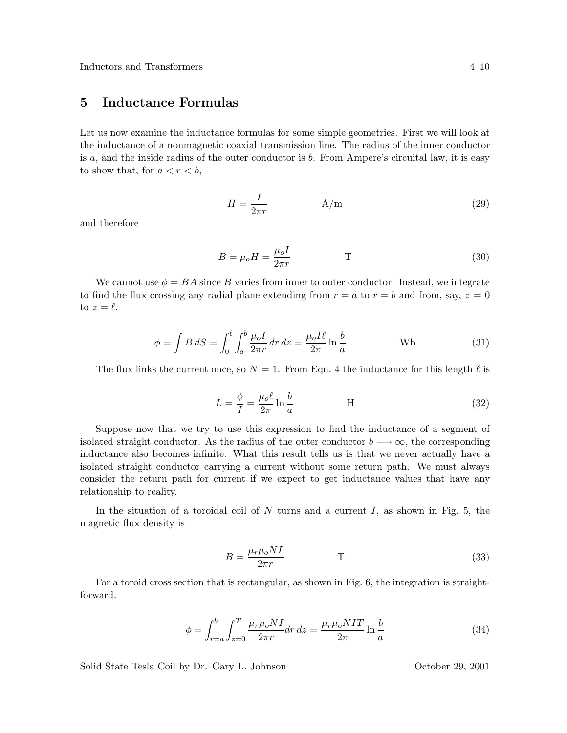# **5 Inductance Formulas**

Let us now examine the inductance formulas for some simple geometries. First we will look at the inductance of a nonmagnetic coaxial transmission line. The radius of the inner conductor is  $a$ , and the inside radius of the outer conductor is  $b$ . From Ampere's circuital law, it is easy to show that, for  $a < r < b$ ,

$$
H = \frac{I}{2\pi r} \tag{29}
$$

and therefore

$$
B = \mu_o H = \frac{\mu_o I}{2\pi r} \tag{30}
$$

We cannot use  $\phi = BA$  since B varies from inner to outer conductor. Instead, we integrate to find the flux crossing any radial plane extending from  $r = a$  to  $r = b$  and from, say,  $z = 0$ to  $z = \ell$ .

$$
\phi = \int B \, dS = \int_0^\ell \int_a^b \frac{\mu_o I}{2\pi r} \, dr \, dz = \frac{\mu_o I \ell}{2\pi} \ln \frac{b}{a} \quad \text{Wb}
$$
\n(31)

The flux links the current once, so  $N = 1$ . From Eqn. 4 the inductance for this length  $\ell$  is

$$
L = \frac{\phi}{I} = \frac{\mu_o \ell}{2\pi} \ln \frac{b}{a}
$$
 H (32)

Suppose now that we try to use this expression to find the inductance of a segment of isolated straight conductor. As the radius of the outer conductor  $b \rightarrow \infty$ , the corresponding inductance also becomes infinite. What this result tells us is that we never actually have a isolated straight conductor carrying a current without some return path. We must always consider the return path for current if we expect to get inductance values that have any relationship to reality.

In the situation of a toroidal coil of N turns and a current I, as shown in Fig. 5, the magnetic flux density is

$$
B = \frac{\mu_r \mu_o N I}{2\pi r} \tag{33}
$$

For a toroid cross section that is rectangular, as shown in Fig. 6, the integration is straightforward.

$$
\phi = \int_{r=a}^{b} \int_{z=0}^{T} \frac{\mu_r \mu_o NI}{2\pi r} dr \, dz = \frac{\mu_r \mu_o NIT}{2\pi} \ln \frac{b}{a} \tag{34}
$$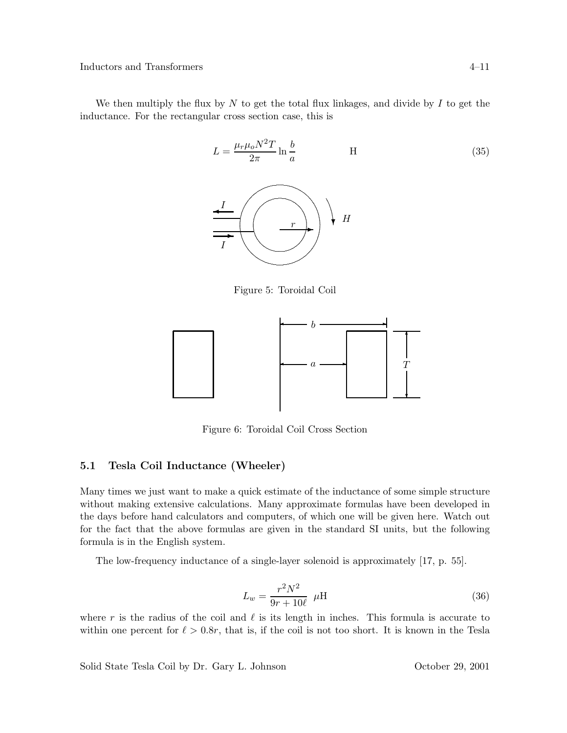We then multiply the flux by  $N$  to get the total flux linkages, and divide by  $I$  to get the inductance. For the rectangular cross section case, this is



Figure 5: Toroidal Coil



Figure 6: Toroidal Coil Cross Section

### **5.1 Tesla Coil Inductance (Wheeler)**

Many times we just want to make a quick estimate of the inductance of some simple structure without making extensive calculations. Many approximate formulas have been developed in the days before hand calculators and computers, of which one will be given here. Watch out for the fact that the above formulas are given in the standard SI units, but the following formula is in the English system.

The low-frequency inductance of a single-layer solenoid is approximately [17, p. 55].

$$
L_w = \frac{r^2 N^2}{9r + 10\ell} \mu \text{H}
$$
\n(36)

where r is the radius of the coil and  $\ell$  is its length in inches. This formula is accurate to within one percent for  $\ell > 0.8r$ , that is, if the coil is not too short. It is known in the Tesla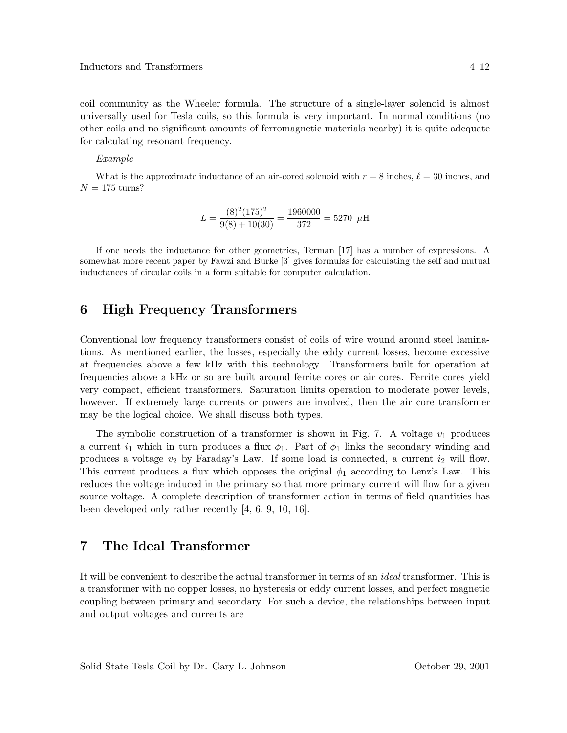coil community as the Wheeler formula. The structure of a single-layer solenoid is almost universally used for Tesla coils, so this formula is very important. In normal conditions (no other coils and no significant amounts of ferromagnetic materials nearby) it is quite adequate for calculating resonant frequency.

#### *Example*

What is the approximate inductance of an air-cored solenoid with  $r = 8$  inches,  $\ell = 30$  inches, and  $N = 175$  turns?

$$
L = \frac{(8)^{2}(175)^{2}}{9(8) + 10(30)} = \frac{1960000}{372} = 5270 \ \mu\text{H}
$$

If one needs the inductance for other geometries, Terman [17] has a number of expressions. A somewhat more recent paper by Fawzi and Burke [3] gives formulas for calculating the self and mutual inductances of circular coils in a form suitable for computer calculation.

### **6 High Frequency Transformers**

Conventional low frequency transformers consist of coils of wire wound around steel laminations. As mentioned earlier, the losses, especially the eddy current losses, become excessive at frequencies above a few kHz with this technology. Transformers built for operation at frequencies above a kHz or so are built around ferrite cores or air cores. Ferrite cores yield very compact, efficient transformers. Saturation limits operation to moderate power levels, however. If extremely large currents or powers are involved, then the air core transformer may be the logical choice. We shall discuss both types.

The symbolic construction of a transformer is shown in Fig. 7. A voltage  $v_1$  produces a current  $i_1$  which in turn produces a flux  $\phi_1$ . Part of  $\phi_1$  links the secondary winding and produces a voltage  $v_2$  by Faraday's Law. If some load is connected, a current  $i_2$  will flow. This current produces a flux which opposes the original  $\phi_1$  according to Lenz's Law. This reduces the voltage induced in the primary so that more primary current will flow for a given source voltage. A complete description of transformer action in terms of field quantities has been developed only rather recently [4, 6, 9, 10, 16].

# **7 The Ideal Transformer**

It will be convenient to describe the actual transformer in terms of an *ideal* transformer. This is a transformer with no copper losses, no hysteresis or eddy current losses, and perfect magnetic coupling between primary and secondary. For such a device, the relationships between input and output voltages and currents are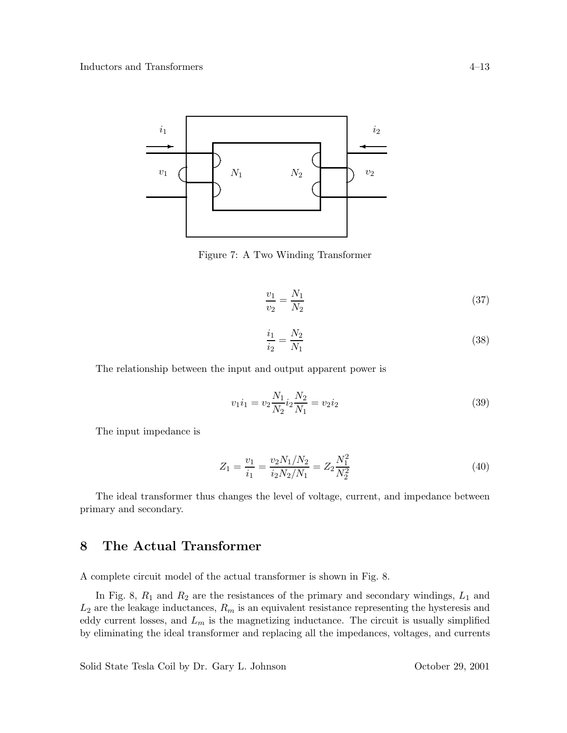

Figure 7: A Two Winding Transformer

$$
\frac{v_1}{v_2} = \frac{N_1}{N_2} \tag{37}
$$

$$
\frac{i_1}{i_2} = \frac{N_2}{N_1} \tag{38}
$$

The relationship between the input and output apparent power is

$$
v_1 i_1 = v_2 \frac{N_1}{N_2} i_2 \frac{N_2}{N_1} = v_2 i_2 \tag{39}
$$

The input impedance is

$$
Z_1 = \frac{v_1}{i_1} = \frac{v_2 N_1 / N_2}{i_2 N_2 / N_1} = Z_2 \frac{N_1^2}{N_2^2}
$$
\n
$$
\tag{40}
$$

The ideal transformer thus changes the level of voltage, current, and impedance between primary and secondary.

# **8 The Actual Transformer**

A complete circuit model of the actual transformer is shown in Fig. 8.

In Fig. 8,  $R_1$  and  $R_2$  are the resistances of the primary and secondary windings,  $L_1$  and  $L_2$  are the leakage inductances,  $R_m$  is an equivalent resistance representing the hysteresis and eddy current losses, and  $L_m$  is the magnetizing inductance. The circuit is usually simplified by eliminating the ideal transformer and replacing all the impedances, voltages, and currents

Solid State Tesla Coil by Dr. Gary L. Johnson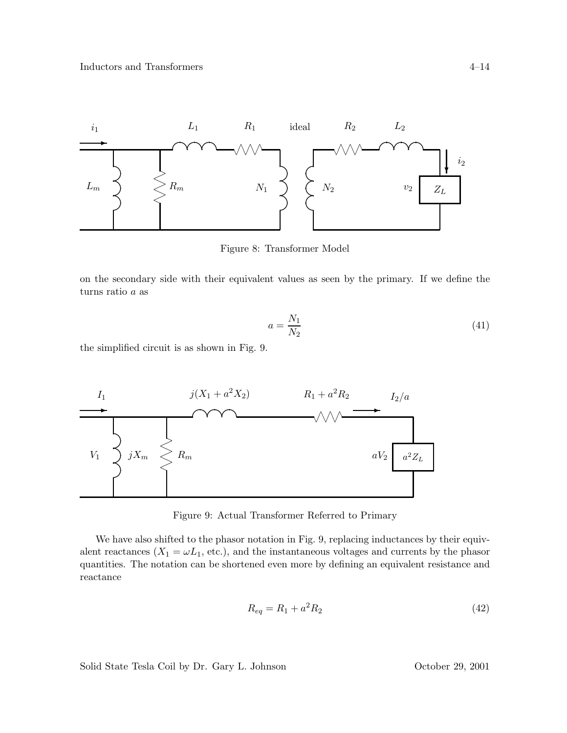

Figure 8: Transformer Model

on the secondary side with their equivalent values as seen by the primary. If we define the turns ratio a as

$$
a = \frac{N_1}{N_2} \tag{41}
$$

the simplified circuit is as shown in Fig. 9.



Figure 9: Actual Transformer Referred to Primary

We have also shifted to the phasor notation in Fig. 9, replacing inductances by their equivalent reactances  $(X_1 = \omega L_1,$  etc.), and the instantaneous voltages and currents by the phasor quantities. The notation can be shortened even more by defining an equivalent resistance and reactance

$$
R_{eq} = R_1 + a^2 R_2 \tag{42}
$$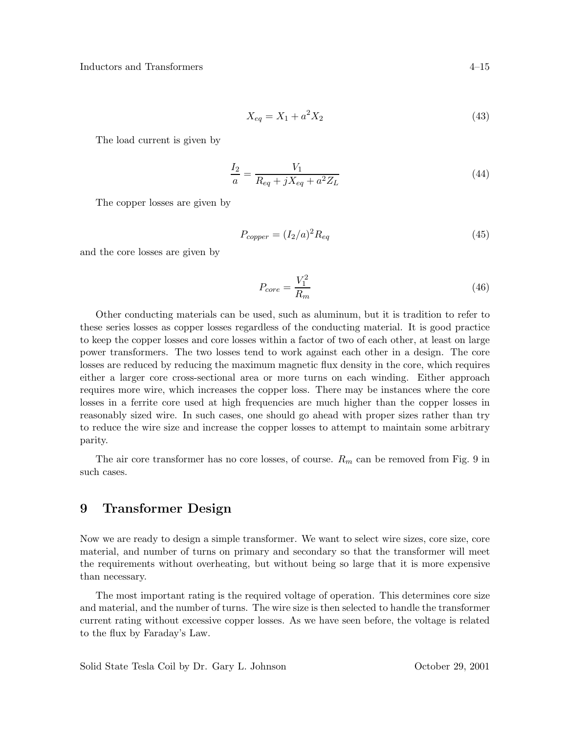$$
X_{eq} = X_1 + a^2 X_2 \tag{43}
$$

The load current is given by

$$
\frac{I_2}{a} = \frac{V_1}{R_{eq} + jX_{eq} + a^2 Z_L}
$$
(44)

The copper losses are given by

$$
P_{copper} = (I_2/a)^2 R_{eq} \tag{45}
$$

and the core losses are given by

$$
P_{core} = \frac{V_1^2}{R_m} \tag{46}
$$

Other conducting materials can be used, such as aluminum, but it is tradition to refer to these series losses as copper losses regardless of the conducting material. It is good practice to keep the copper losses and core losses within a factor of two of each other, at least on large power transformers. The two losses tend to work against each other in a design. The core losses are reduced by reducing the maximum magnetic flux density in the core, which requires either a larger core cross-sectional area or more turns on each winding. Either approach requires more wire, which increases the copper loss. There may be instances where the core losses in a ferrite core used at high frequencies are much higher than the copper losses in reasonably sized wire. In such cases, one should go ahead with proper sizes rather than try to reduce the wire size and increase the copper losses to attempt to maintain some arbitrary parity.

The air core transformer has no core losses, of course.  $R_m$  can be removed from Fig. 9 in such cases.

## **9 Transformer Design**

Now we are ready to design a simple transformer. We want to select wire sizes, core size, core material, and number of turns on primary and secondary so that the transformer will meet the requirements without overheating, but without being so large that it is more expensive than necessary.

The most important rating is the required voltage of operation. This determines core size and material, and the number of turns. The wire size is then selected to handle the transformer current rating without excessive copper losses. As we have seen before, the voltage is related to the flux by Faraday's Law.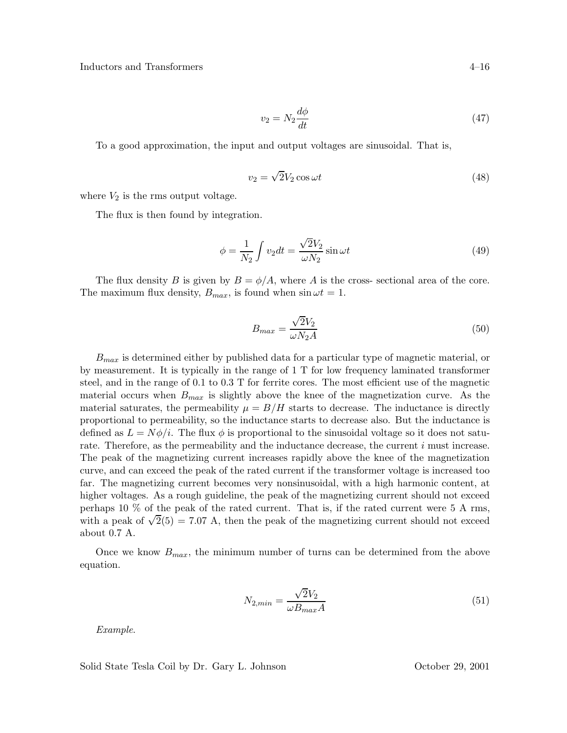$$
v_2 = N_2 \frac{d\phi}{dt} \tag{47}
$$

To a good approximation, the input and output voltages are sinusoidal. That is,

$$
v_2 = \sqrt{2}V_2 \cos \omega t \tag{48}
$$

where  $V_2$  is the rms output voltage.

The flux is then found by integration.

$$
\phi = \frac{1}{N_2} \int v_2 dt = \frac{\sqrt{2}V_2}{\omega N_2} \sin \omega t \tag{49}
$$

The flux density B is given by  $B = \phi/A$ , where A is the cross-sectional area of the core. The maximum flux density,  $B_{max}$ , is found when  $\sin \omega t = 1$ .

$$
B_{max} = \frac{\sqrt{2}V_2}{\omega N_2 A} \tag{50}
$$

 $B_{max}$  is determined either by published data for a particular type of magnetic material, or by measurement. It is typically in the range of 1 T for low frequency laminated transformer steel, and in the range of 0.1 to 0.3 T for ferrite cores. The most efficient use of the magnetic material occurs when  $B_{max}$  is slightly above the knee of the magnetization curve. As the material saturates, the permeability  $\mu = B/H$  starts to decrease. The inductance is directly proportional to permeability, so the inductance starts to decrease also. But the inductance is defined as  $L = N\phi/i$ . The flux  $\phi$  is proportional to the sinusoidal voltage so it does not saturate. Therefore, as the permeability and the inductance decrease, the current i must increase. The peak of the magnetizing current increases rapidly above the knee of the magnetization curve, and can exceed the peak of the rated current if the transformer voltage is increased too far. The magnetizing current becomes very nonsinusoidal, with a high harmonic content, at higher voltages. As a rough guideline, the peak of the magnetizing current should not exceed perhaps 10 % of the peak of the rated current. That is, if the rated current were 5 A rms, with a peak of  $\sqrt{2(5)} = 7.07$  A, then the peak of the magnetizing current should not exceed about 0.7 A.

Once we know  $B_{max}$ , the minimum number of turns can be determined from the above equation.

$$
N_{2,min} = \frac{\sqrt{2}V_2}{\omega B_{max}A}
$$
\n(51)

*Example*.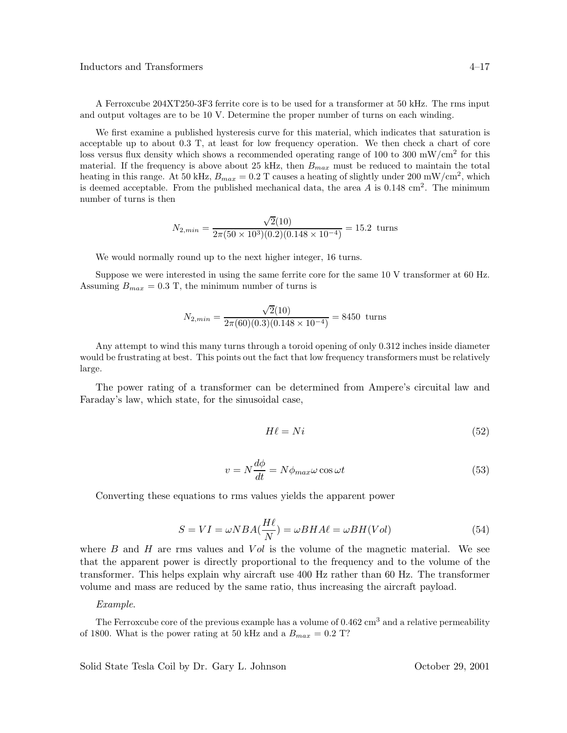A Ferroxcube 204XT250-3F3 ferrite core is to be used for a transformer at 50 kHz. The rms input and output voltages are to be 10 V. Determine the proper number of turns on each winding.

We first examine a published hysteresis curve for this material, which indicates that saturation is acceptable up to about 0.3 T, at least for low frequency operation. We then check a chart of core loss versus flux density which shows a recommended operating range of 100 to 300 mW/cm<sup>2</sup> for this material. If the frequency is above about 25 kHz, then B*max* must be reduced to maintain the total heating in this range. At 50 kHz,  $B_{max} = 0.2$  T causes a heating of slightly under 200 mW/cm<sup>2</sup>, which is deemed acceptable. From the published mechanical data, the area A is  $0.148 \text{ cm}^2$ . The minimum number of turns is then

$$
N_{2,min} = \frac{\sqrt{2}(10)}{2\pi (50 \times 10^3)(0.2)(0.148 \times 10^{-4})} = 15.2 \text{ turns}
$$

We would normally round up to the next higher integer, 16 turns.

Suppose we were interested in using the same ferrite core for the same 10 V transformer at 60 Hz. Assuming  $B_{max} = 0.3$  T, the minimum number of turns is

$$
N_{2,min} = \frac{\sqrt{2}(10)}{2\pi (60)(0.3)(0.148 \times 10^{-4})} = 8450 \text{ turns}
$$

Any attempt to wind this many turns through a toroid opening of only 0.312 inches inside diameter would be frustrating at best. This points out the fact that low frequency transformers must be relatively large.

The power rating of a transformer can be determined from Ampere's circuital law and Faraday's law, which state, for the sinusoidal case,

$$
H\ell = Ni \tag{52}
$$

$$
v = N \frac{d\phi}{dt} = N \phi_{max} \omega \cos \omega t \tag{53}
$$

Converting these equations to rms values yields the apparent power

$$
S = VI = \omega NBA(\frac{H\ell}{N}) = \omega BHA\ell = \omega BH(Vol)
$$
\n(54)

where  $B$  and  $H$  are rms values and  $Vol$  is the volume of the magnetic material. We see that the apparent power is directly proportional to the frequency and to the volume of the transformer. This helps explain why aircraft use 400 Hz rather than 60 Hz. The transformer volume and mass are reduced by the same ratio, thus increasing the aircraft payload.

#### *Example*.

The Ferroxcube core of the previous example has a volume of  $0.462 \text{ cm}^3$  and a relative permeability of 1800. What is the power rating at 50 kHz and a  $B_{max} = 0.2$  T?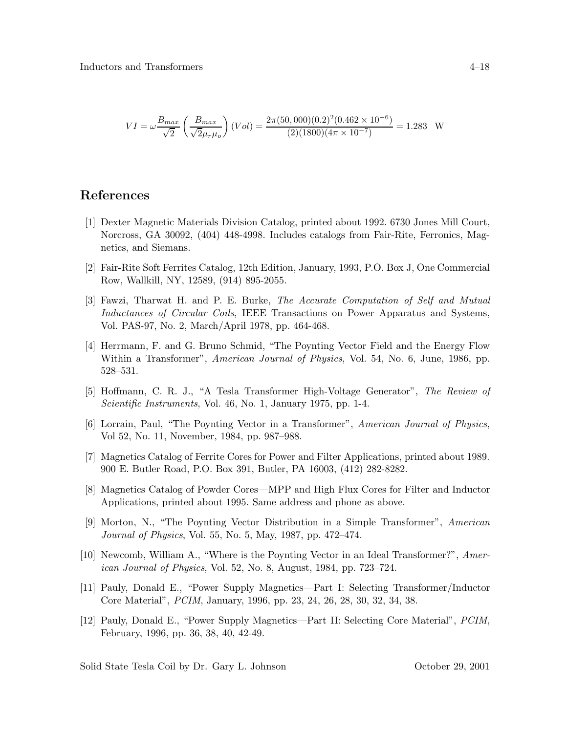$$
VI = \omega \frac{B_{max}}{\sqrt{2}} \left( \frac{B_{max}}{\sqrt{2}\mu_r \mu_o} \right) (Vol) = \frac{2\pi (50,000)(0.2)^2 (0.462 \times 10^{-6})}{(2)(1800)(4\pi \times 10^{-7})} = 1.283 \text{ W}
$$

### **References**

- [1] Dexter Magnetic Materials Division Catalog, printed about 1992. 6730 Jones Mill Court, Norcross, GA 30092, (404) 448-4998. Includes catalogs from Fair-Rite, Ferronics, Magnetics, and Siemans.
- [2] Fair-Rite Soft Ferrites Catalog, 12th Edition, January, 1993, P.O. Box J, One Commercial Row, Wallkill, NY, 12589, (914) 895-2055.
- [3] Fawzi, Tharwat H. and P. E. Burke, *The Accurate Computation of Self and Mutual Inductances of Circular Coils*, IEEE Transactions on Power Apparatus and Systems, Vol. PAS-97, No. 2, March/April 1978, pp. 464-468.
- [4] Herrmann, F. and G. Bruno Schmid, "The Poynting Vector Field and the Energy Flow Within a Transformer", *American Journal of Physics*, Vol. 54, No. 6, June, 1986, pp. 528–531.
- [5] Hoffmann, C. R. J., "A Tesla Transformer High-Voltage Generator", *The Review of Scientific Instruments*, Vol. 46, No. 1, January 1975, pp. 1-4.
- [6] Lorrain, Paul, "The Poynting Vector in a Transformer", *American Journal of Physics*, Vol 52, No. 11, November, 1984, pp. 987–988.
- [7] Magnetics Catalog of Ferrite Cores for Power and Filter Applications, printed about 1989. 900 E. Butler Road, P.O. Box 391, Butler, PA 16003, (412) 282-8282.
- [8] Magnetics Catalog of Powder Cores—MPP and High Flux Cores for Filter and Inductor Applications, printed about 1995. Same address and phone as above.
- [9] Morton, N., "The Poynting Vector Distribution in a Simple Transformer", *American Journal of Physics*, Vol. 55, No. 5, May, 1987, pp. 472–474.
- [10] Newcomb, William A., "Where is the Poynting Vector in an Ideal Transformer?", *American Journal of Physics*, Vol. 52, No. 8, August, 1984, pp. 723–724.
- [11] Pauly, Donald E., "Power Supply Magnetics—Part I: Selecting Transformer/Inductor Core Material", *PCIM*, January, 1996, pp. 23, 24, 26, 28, 30, 32, 34, 38.
- [12] Pauly, Donald E., "Power Supply Magnetics—Part II: Selecting Core Material", *PCIM*, February, 1996, pp. 36, 38, 40, 42-49.